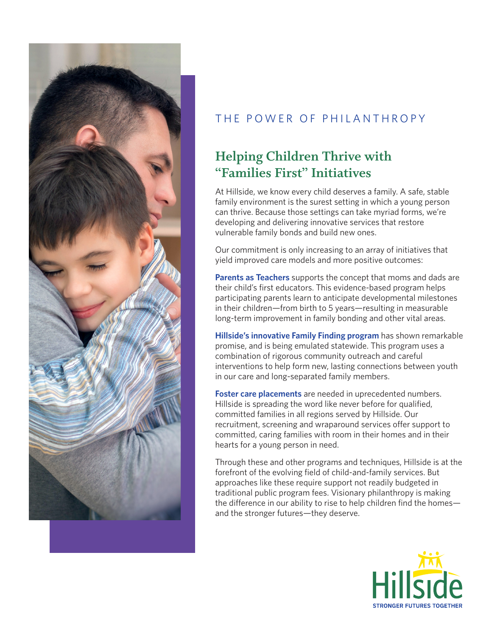

## THE POWER OF PHILANTHROPY

## **Helping Children Thrive with "Families First" Initiatives**

At Hillside, we know every child deserves a family. A safe, stable family environment is the surest setting in which a young person can thrive. Because those settings can take myriad forms, we're developing and delivering innovative services that restore vulnerable family bonds and build new ones.

Our commitment is only increasing to an array of initiatives that yield improved care models and more positive outcomes:

**Parents as Teachers** supports the concept that moms and dads are their child's first educators. This evidence-based program helps participating parents learn to anticipate developmental milestones in their children—from birth to 5 years—resulting in measurable long-term improvement in family bonding and other vital areas.

**Hillside's innovative Family Finding program** has shown remarkable promise, and is being emulated statewide. This program uses a combination of rigorous community outreach and careful interventions to help form new, lasting connections between youth in our care and long-separated family members.

**Foster care placements** are needed in uprecedented numbers. Hillside is spreading the word like never before for qualified, committed families in all regions served by Hillside. Our recruitment, screening and wraparound services offer support to committed, caring families with room in their homes and in their hearts for a young person in need.

Through these and other programs and techniques, Hillside is at the forefront of the evolving field of child-and-family services. But approaches like these require support not readily budgeted in traditional public program fees. Visionary philanthropy is making the difference in our ability to rise to help children find the homes and the stronger futures—they deserve.